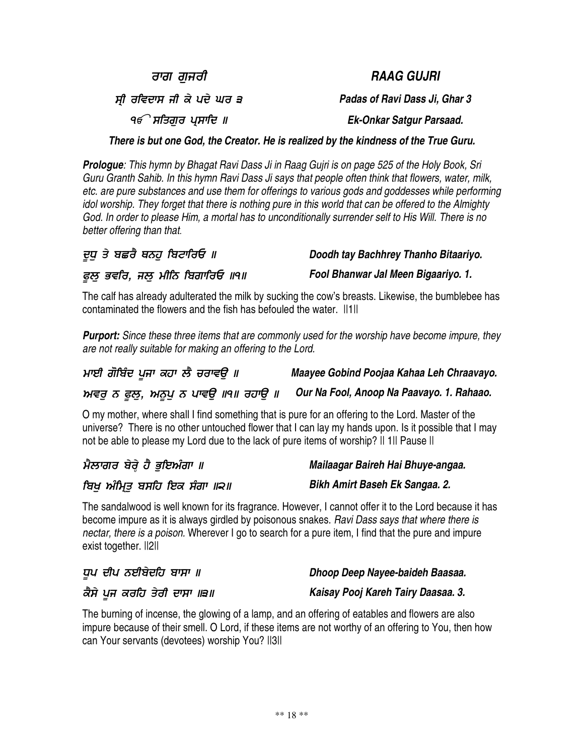ਰਾਗ ਗਜਰੀ

ਸ੍ਰੀ ਰਵਿਦਾ

੧*€ੇ* ਸਤਿਗੁਰ ਪ੍ਸਾਚਿ

*There is but one God, the Creator. He is realized by the kindness of the True Guru.*

**Prologue:** This hymn by Bhagat Ravi Dass Ji in Raag Guiri is on page 525 of the Holy Book, Sri Guru Granth Sahib. In this hymn Ravi Dass Ji says that people often think that flowers, water, milk, *etc. are pure substances and use them for offerings to various gods and goddesses while performing* idol worship. They forget that there is nothing pure in this world that can be offered to the Almighty God. In order to please Him, a mortal has to unconditionally surrender self to His Will. There is no *better offering than that.*

| ਦੁਧੁ ਤੇ ਬਛਰੈ ਥਨਹੁ ਬਿਟਾਰਿਓ ॥     | Doodh tay Bachhrey Thanho Bitaariyo. |
|---------------------------------|--------------------------------------|
| ਫੁਲੂ ਭਵਰਿ, ਜਲੂ ਮੀਨਿ ਬਿਗਾਰਿਓ ॥੧॥ | Fool Bhanwar Jal Meen Bigaariyo. 1.  |

The calf has already adulterated the milk by sucking the cow's breasts. Likewise, the bumblebee has contaminated the flowers and the fish has befouled the water.  $\|1\|$ 

*Purport: Since these three items that are commonly used for the worship have become impure, they are not really suitable for making an offering to the Lord.*

| ਮਾਈ ਗੋਬਿੰਦ ਪੂਜਾ ਕਹਾ ਲੈ ਚਰਾਵਉ ॥ | Maayee Gobind Poojaa Kahaa Leh Chraavayo.                                                                                                                                                                                                                                                                                                                                            |
|--------------------------------|--------------------------------------------------------------------------------------------------------------------------------------------------------------------------------------------------------------------------------------------------------------------------------------------------------------------------------------------------------------------------------------|
|                                | $\overline{a}$ $\overline{a}$ $\overline{a}$ $\overline{a}$ $\overline{a}$ $\overline{a}$ $\overline{a}$ $\overline{a}$ $\overline{a}$ $\overline{a}$ $\overline{a}$ $\overline{a}$ $\overline{a}$ $\overline{a}$ $\overline{a}$ $\overline{a}$ $\overline{a}$ $\overline{a}$ $\overline{a}$ $\overline{a}$ $\overline{a}$ $\overline{a}$ $\overline{a}$ $\overline{a}$ $\overline{$ |

### $\kappa$ ਸਵਰੁ ਨ ਫੂਲੁ, ਅਨੂਪੁ ਨ ਪਾਵਉ ॥੧॥ ਰਹਾਉ ॥ Our Na Fool, Anoop Na Paavayo. 1. Rahaao.

O my mother, where shall I find something that is pure for an offering to the Lord. Master of the universe? There is no other untouched flower that I can lay my hands upon. Is it possible that I may not be able to please my Lord due to the lack of pure items of worship? || 1|| Pause ||

ਮੈਲਾਗਰ ਬੇਰ੍ਹੇ ਹੈ ਭੁਇਅੰਗਾ ॥ ਬਿਖੂ ਅੰਮ੍ਰਿਤੂ ਬਸਹਿ ਇਕ ਸੰਗਾ ॥੨॥ *Mailaagar Baireh Hai Bhuye-angaa.*

The sandalwood is well known for its fragrance. However, I cannot offer it to the Lord because it has become impure as it is always girdled by poisonous snakes. *Ravi Dass says that where there is nectar, there is a poison.* Wherever I go to search for a pure item, I find that the pure and impure exist together. ||2||

|  | ਕੈਸੇ ਪਜ ਕਰਹਿ ਤੇਰੀ ਦਾਸਾ ॥੩॥ |  |  |  |  | Kaisay Pooj Kareh Tairy Daasaa. 3. |  |
|--|----------------------------|--|--|--|--|------------------------------------|--|
|  |                            |  |  |  |  |                                    |  |

The burning of incense, the glowing of a lamp, and an offering of eatables and flowers are also impure because of their smell. O Lord, if these items are not worthy of an offering to You, then how can Your servants (devotees) worship You? ||3||

#### *RAAG GUJRI*

 *Padas of Ravi Dass Ji, Ghar 3*

 *Ek-Onkar Satgur Parsaad.*

*Fool Bhanwar Jal Meen Bigaariyo. 1.*

*Bikh Amirt Baseh Ek Sangaa. 2.*

*Dhoop Deep Nayee-baideh Baasaa.*

ਧੂਪ ਦੀਪ ਨਈਬੇਦਹਿ ਬਾਸਾ ॥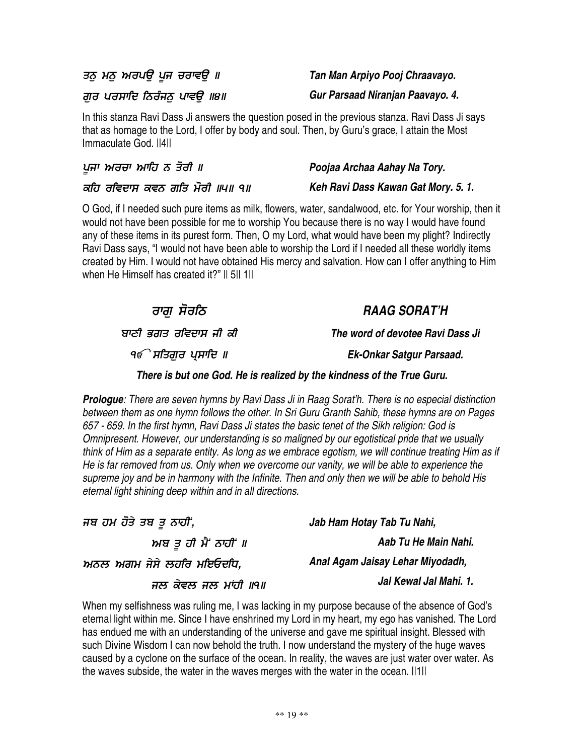ਤਨੁ ਮਨੁ ਅਰਪਉ ਪੂਜ ਚਰਾਵਉ ॥

ਗੁਰ ਪਰਸਾਦਿ ਨਿਰੰਜਨੁ ਪਾਵਉ ॥੪॥

In this stanza Ravi Dass Ji answers the question posed in the previous stanza. Ravi Dass Ji says that as homage to the Lord, I offer by body and soul. Then, by Guru's grace, I attain the Most Immaculate God. ||4||

| ਪੁਜਾ ਅਰਚਾ ਆਹਿ ਨ ਤੋਰੀ ॥         | Poojaa Archaa Aahay Na Tory.        |
|--------------------------------|-------------------------------------|
| ਕਹਿ ਰਵਿਦਾਸ ਕਵਨ ਗਤਿ ਮੋਰੀ ॥੫॥ ੧॥ | Keh Ravi Dass Kawan Gat Mory. 5. 1. |

O God, if I needed such pure items as milk, flowers, water, sandalwood, etc. for Your worship, then it would not have been possible for me to worship You because there is no way I would have found any of these items in its purest form. Then, O my Lord, what would have been my plight? Indirectly Ravi Dass says, "I would not have been able to worship the Lord if I needed all these worldly items created by Him. I would not have obtained His mercy and salvation. How can I offer anything to Him when He Himself has created it?" Il 5|| 1||

0 *RAAG SORAT'H* ਬਾਣੀ ਭਗਤ ਰਵਿਦਾ *The word of devotee Ravi Dass Ji* ੧*€ੇ* ਸਤਿਗੁਰ ਪ੍ਸਾਚਿ *Ek-Onkar Satgur Parsaad. There is but one God. He is realized by the kindness of the True Guru. Prologue: There are seven hymns by Ravi Dass Ji in Raag Sorat'h. There is no especial distinction between them as one hymn follows the other. In Sri Guru Granth Sahib, these hymns are on Pages* 657 - 659. In the first hymn, Ravi Dass Ji states the basic tenet of the Sikh religion: God is *Omnipresent. However, our understanding is so maligned by our egotistical pride that we usually*

think of Him as a separate entity. As long as we embrace egotism, we will continue treating Him as if He is far removed from us. Only when we overcome our vanity, we will be able to experience the supreme joy and be in harmony with the Infinite. Then and only then we will be able to behold His *eternal light shining deep within and in all directions.*

ਜਬ ਹਮ ਹੋਤੇ ਤਬ ਤੂ ਨਾਹੀਂ, ਅਬ ਤੂ ਹੀ ਮੈਂ ਨਾਹੀਂ ॥ ਅਨਲ ਅਗਮ ਜੇਸੇ ਲਹਰਿ ਮਇਓਦਧਿ, ਜਲ ਕੇਵਲ ਜਲ ਮਾਂਹੀ ॥੧॥ *Jab Ham Hotay Tab Tu Nahi, Aab Tu He Main Nahi. Anal Agam Jaisay Lehar Miyodadh, Jal Kewal Jal Mahi. 1.*

When my selfishness was ruling me, I was lacking in my purpose because of the absence of God's eternal light within me. Since I have enshrined my Lord in my heart, my ego has vanished. The Lord has endued me with an understanding of the universe and gave me spiritual insight. Blessed with such Divine Wisdom I can now behold the truth. I now understand the mystery of the huge waves caused by a cyclone on the surface of the ocean. In reality, the waves are just water over water. As the waves subside, the water in the waves merges with the water in the ocean. II1II

*Tan Man Arpiyo Pooj Chraavayo.*

*Gur Parsaad Niranjan Paavayo. 4.*

ਰਾਗੁ ਸੋਰਨਿ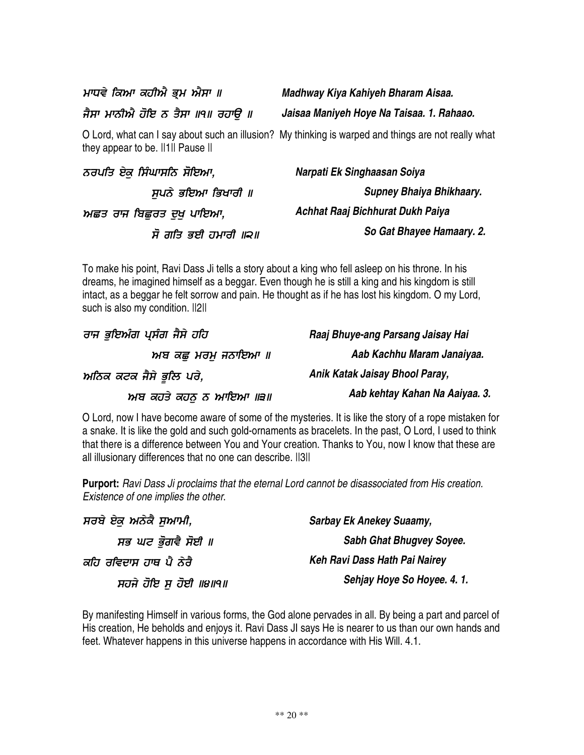ਮਾਧਵੇ ਕਿਆ ਕਹੀਐ ਭ੍ਰਮ ਐਸਾ ॥

ਜੈਸਾ ਮਾਨੀਐ ਹੋਇ ਨ ਤੈਸਾ ॥੧॥ ਰਹਾਉ ॥

O Lord, what can I say about such an illusion? My thinking is warped and things are not really what they appear to be. ||1|| Pause ||

| ਨਰਪਤਿ ਏਕ ਸਿੰਘਾਸਨਿ ਸੋਇਆ, | Narpati Ek Singhaasan Soiya      |
|-------------------------|----------------------------------|
| ਸਪਨੇ ਭਇਆ ਭਿਖਾਰੀ ॥       | Supney Bhaiya Bhikhaary.         |
| ਅਛਤ ਰਾਜ ਬਿਛਰਤ ਦਖ ਪਾਇਆ,  | Achhat Raaj Bichhurat Dukh Paiya |
| ਸੋ ਗਤਿ ਭਈ ਹਮਾਰੀ ॥੨॥     | So Gat Bhayee Hamaary. 2.        |

To make his point, Ravi Dass Ji tells a story about a king who fell asleep on his throne. In his dreams, he imagined himself as a beggar. Even though he is still a king and his kingdom is still intact, as a beggar he felt sorrow and pain. He thought as if he has lost his kingdom. O my Lord, such is also my condition.  $||2||$ 

ਰਾਜ ਭੁਇਅੰਗ ਪ੍ਸੰਗ ਜੈਸੇ ਹਹਿ ਅਬ ਕਛੁ ਮਰਮੁ ਜਨਾਇਆ ॥ ਅਨਿਕ ਕਟਕ ਜੈਸੇ ਭੂਲਿ ਪਰੇ, ਅਬ ਕਹਤੇ ਕਹਨੁ ਨ ਆਇਆ ।।੩॥ *Raaj Bhuye-ang Parsang Jaisay Hai Aab Kachhu Maram Janaiyaa. Anik Katak Jaisay Bhool Paray,*

O Lord, now I have become aware of some of the mysteries. It is like the story of a rope mistaken for a snake. It is like the gold and such gold-ornaments as bracelets. In the past, O Lord, I used to think that there is a difference between You and Your creation. Thanks to You, now I know that these are all illusionary differences that no one can describe. II3II

**Purport:** *Ravi Dass Ji proclaims that the eternal Lord cannot be disassociated from His creation. Existence of one implies the other*.

| ਸਰਬੇ ਏਕ ਅਨੇਕੈ ਸਆਮੀ,    | <b>Sarbay Ek Anekey Suaamy,</b> |
|------------------------|---------------------------------|
| ਸਭ ਘਟ ਭੋਗਵੈ ਸੋਈ ॥      | Sabh Ghat Bhugvey Soyee.        |
| ਕਹਿ ਰਵਿਦਾਸ ਹਾਥ ਪੈ ਨੇਰੈ | Keh Ravi Dass Hath Pai Nairey   |
| ਸਹਜੇ ਹੋਇ ਸੁ ਹੋਈ ॥੪॥੧॥  | Sehjay Hoye So Hoyee. 4. 1.     |

By manifesting Himself in various forms, the God alone pervades in all. By being a part and parcel of His creation, He beholds and enjoys it. Ravi Dass JI says He is nearer to us than our own hands and feet. Whatever happens in this universe happens in accordance with His Will. 4.1.

# *Madhway Kiya Kahiyeh Bharam Aisaa. Jaisaa Maniyeh Hoye Na Taisaa. 1. Rahaao.*

*Aab kehtay Kahan Na Aaiyaa. 3.*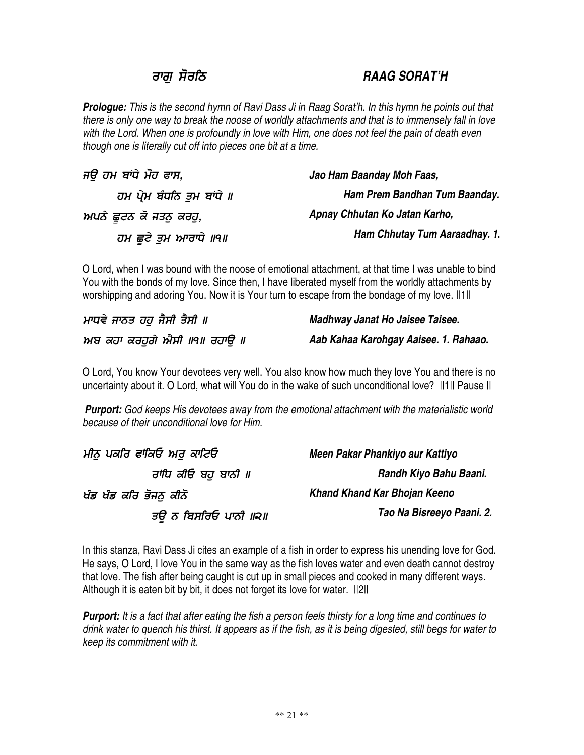# ਰਾਗੁ ਸੋਰਨਿ

### 0 *RAAG SORAT'H*

Prologue: This is the second hymn of Ravi Dass Ji in Raag Sorat'h. In this hymn he points out that there is only one way to break the noose of worldly attachments and that is to immensely fall in love with the Lord. When one is profoundly in love with Him, one does not feel the pain of death even *though one is literally cut off into pieces one bit at a time.*

| ਜੳ ਹਮ ਬਾਂਧੇ ਮੋਹ ਫਾਸ,      | Jao Ham Baanday Moh Faas,     |
|---------------------------|-------------------------------|
| ਹਮ ਪ੍ਰੇਮ ਬੰਧਨਿ ਤਮ ਬਾਂਧੇ ॥ | Ham Prem Bandhan Tum Baanday. |
| ਅਪਨੇ ਛੁਟਨ ਕੋ ਜਤਨੁ ਕਰਹੁ,   | Apnay Chhutan Ko Jatan Karho, |
| ਹਮ ਛੁਟੇ ਤੁਮ ਆਰਾਧੇ ॥੧॥     | Ham Chhutay Tum Aaraadhay. 1. |

O Lord, when I was bound with the noose of emotional attachment, at that time I was unable to bind You with the bonds of my love. Since then, I have liberated myself from the worldly attachments by worshipping and adoring You. Now it is Your turn to escape from the bondage of my love. ||1||

| ਮਾਧਵੇ ਜਾਨਤ ਹਹ ਜੈਸੀ ਤੈਸੀ ॥   | Madhway Janat Ho Jaisee Taisee.       |
|-----------------------------|---------------------------------------|
| ਅਬ ਕਹਾ ਕਰਹਗੇ ਐਸੀ ॥੧॥ ਰਹਾੳ ॥ | Aab Kahaa Karohgay Aaisee. 1. Rahaao. |

O Lord, You know Your devotees very well. You also know how much they love You and there is no uncertainty about it. O Lord, what will You do in the wake of such unconditional love? ||1|| Pause ||

*Purport: God keeps His devotees away from the emotional attachment with the materialistic world because of their unconditional love for Him.*

| ਮੀਨੂ ਪਕਰਿ ਫਾਂਕਿਓ ਅਰ ਕਾਟਿਓ | Meen Pakar Phankiyo aur Kattiyo |
|---------------------------|---------------------------------|
| ਰਾਂਧਿ ਕੀਓ ਬਹ ਬਾਨੀ ॥       | Randh Kiyo Bahu Baani.          |
| ਖੰਡ ਖੰਡ ਕਰਿ ਭੋਜਨ ਕੀਨੋ     | Khand Khand Kar Bhojan Keeno    |
| ਤੳ ਨ ਬਿਸਰਿਓ ਪਾਨੀ ॥੨॥      | Tao Na Bisreeyo Paani. 2.       |

In this stanza, Ravi Dass Ji cites an example of a fish in order to express his unending love for God. He says, O Lord, I love You in the same way as the fish loves water and even death cannot destroy that love. The fish after being caught is cut up in small pieces and cooked in many different ways. Although it is eaten bit by bit, it does not forget its love for water. ||2||

**Purport:** It is a fact that after eating the fish a person feels thirsty for a long time and continues to drink water to quench his thirst. It appears as if the fish, as it is being digested, still begs for water to *keep its commitment with it*.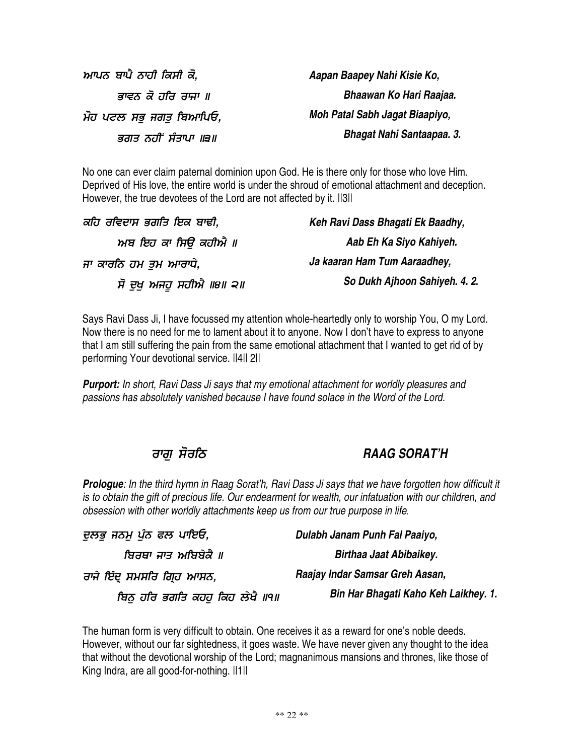ਆਪਨ ਬਾਪੈ ਨਾਹੀ ਕਿਸੀ ਕੋ, ਭਾਵਨ ਕੋ ਹਰਿ ਰਾਜਾ ॥ ਮੋਹ ਪਟਲ ਸਭੁ ਜਗਤੁ ਬਿਆਪਿਓ, ਭਗਤ ਨਹੀਂ ਸੰਤਾਪਾ ॥੩॥

*Aapan Baapey Nahi Kisie Ko, Bhaawan Ko Hari Raajaa. Moh Patal Sabh Jagat Biaapiyo, Bhagat Nahi Santaapaa. 3.*

No one can ever claim paternal dominion upon God. He is there only for those who love Him. Deprived of His love, the entire world is under the shroud of emotional attachment and deception. However, the true devotees of the Lord are not affected by it. ||3||

| ਕਹਿ ਰਵਿਦਾਸ ਭਗਤਿ ਇਕ ਬਾਢੀ, | Keh Ravi Dass Bhagati Ek Baadhy, |
|--------------------------|----------------------------------|
| ਅਬ ਇਹ ਕਾ ਸਿੳੇ ਕਹੀਐ ॥     | Aab Eh Ka Siyo Kahiyeh.          |
| ਜਾ ਕਾਰਨਿ ਹਮ ਤਮ ਆਰਾਧੇ,    | Ja kaaran Ham Tum Aaraadhey,     |
| ਸੋ ਦੁਖ਼ ਅਜਹੂ ਸਹੀਐ ॥੪॥ ੨॥ | So Dukh Ajhoon Sahiyeh. 4. 2.    |

Says Ravi Dass Ji, I have focussed my attention whole-heartedly only to worship You, O my Lord. Now there is no need for me to lament about it to anyone. Now I don't have to express to anyone that I am still suffering the pain from the same emotional attachment that I wanted to get rid of by performing Your devotional service. ||4|| 2||

*Purport: In short, Ravi Dass Ji says that my emotional attachment for worldly pleasures and passions has absolutely vanished because I have found solace in the Word of the Lord.*

### ਰਾਗੁ ਸੋਰਨਿ

### 0 *RAAG SORAT'H*

Prologue: In the third hymn in Raag Sorat'h, Ravi Dass Ji says that we have forgotten how difficult it is to obtain the gift of precious life. Our endearment for wealth, our infatuation with our children, and *obsession with other worldly attachments keep us from our true purpose in life.*

| ਦੁਲਭੁ ਜਨਮੂ ਪੁੰਨ ਫਲ ਪਾਇਓ,        | Dulabh Janam Punh Fal Paaiyo,        |
|---------------------------------|--------------------------------------|
| ਬਿਰਥਾ ਜਾਤ ਅਬਿਬੇਕੈ ॥             | Birthaa Jaat Abibaikey.              |
| ਰਾਜੇ ਇੰਦ੍ ਸਮਸਰਿ ਗਿ੍ਹ ਆਸਨ,       | Raajay Indar Samsar Greh Aasan,      |
| ਬਿਨੂ ਹਰਿ ਭਗਤਿ ਕਹਹੁ ਕਿਹ ਲੇਖੈ ॥੧॥ | Bin Har Bhagati Kaho Keh Laikhey. 1. |

The human form is very difficult to obtain. One receives it as a reward for one's noble deeds. However, without our far sightedness, it goes waste. We have never given any thought to the idea that without the devotional worship of the Lord; magnanimous mansions and thrones, like those of King Indra, are all good-for-nothing. ||1||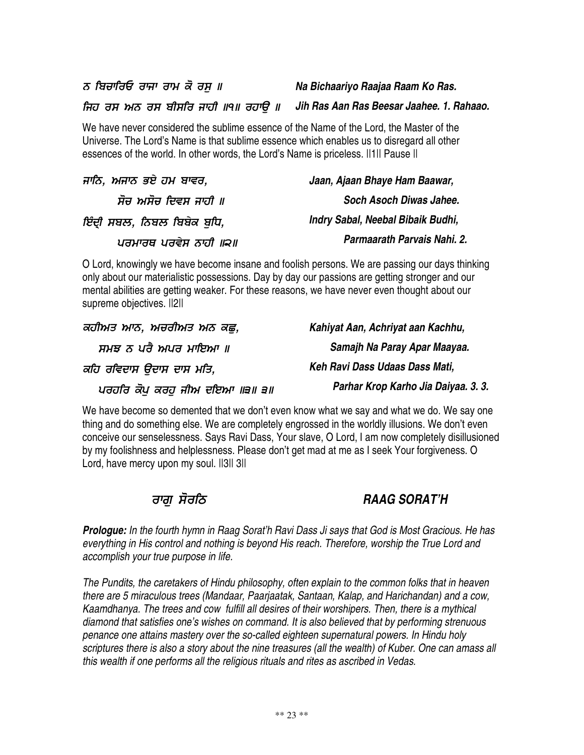ਨ ਬਿਚਾਰਿਓ ਰਾਜਾ ਰਾਮ ਕੋ ਰਸੁ ॥

ਜਿਹ ਰਸ ਅਨ ਰਸ ਬੀਸਰਿ ਜਾਹੀ ॥੧॥ ਰਹਾਉ ॥

We have never considered the sublime essence of the Name of the Lord, the Master of the Universe. The Lord's Name is that sublime essence which enables us to disregard all other essences of the world. In other words, the Lord's Name is priceless. II1II Pause II

| ਜਾਨਿ, ਅਜਾਨ ਭਏ ਹਮ ਬਾਵਰ,    | Jaan, Ajaan Bhaye Ham Baawar,     |
|---------------------------|-----------------------------------|
| ਸੋਚ ਅਸੋਚ ਦਿਵਸ ਜਾਹੀ ॥      | Soch Asoch Diwas Jahee.           |
| ਇੰਦੀ ਸਬਲ, ਨਿਬਲ ਬਿਬੇਕ ਬਧਿ, | Indry Sabal, Neebal Bibaik Budhi, |
| ਪਰਮਾਰਥ ਪਰਵੇਸ ਨਾਹੀ ॥੨॥     | Parmaarath Parvais Nahi. 2.       |

O Lord, knowingly we have become insane and foolish persons. We are passing our days thinking only about our materialistic possessions. Day by day our passions are getting stronger and our mental abilities are getting weaker. For these reasons, we have never even thought about our supreme objectives.  $||2||$ 

| ਕਹੀਅਤ ਆਨ, ਅਚਰੀਅਤ ਅਨ ਕਛ,      | Kahiyat Aan, Achriyat aan Kachhu,   |
|------------------------------|-------------------------------------|
| ਸਮਝ ਨ ਪਰੈ ਅਪਰ ਮਾਇਆ ॥         | Samajh Na Paray Apar Maayaa.        |
| ਕਹਿ ਰਵਿਦਾਸ ੳਦਾਸ ਦਾਸ ਮਤਿ,     | Keh Ravi Dass Udaas Dass Mati,      |
| ਪਰਹਰਿ ਕੋਪ ਕਰਹ ਜੀਅ ਦਇਆ ॥੩॥ ੩॥ | Parhar Krop Karho Jia Daiyaa. 3. 3. |

We have become so demented that we don't even know what we say and what we do. We say one thing and do something else. We are completely engrossed in the worldly illusions. We don't even conceive our senselessness. Says Ravi Dass, Your slave, O Lord, I am now completely disillusioned by my foolishness and helplessness. Please don't get mad at me as I seek Your forgiveness. O Lord, have mercy upon my soul. ||3|| 3||

## ਰਾਗੁ ਸੋਰਨਿ

0 *RAAG SORAT'H*

Prologue: In the fourth hymn in Raag Sorat'h Ravi Dass Ji says that God is Most Gracious. He has *everything in His control and nothing is beyond His reach. Therefore, worship the True Lord and accomplish your true purpose in life.*

*The Pundits, the caretakers of Hindu philosophy, often explain to the common folks that in heaven there are 5 miraculous trees (Mandaar, Paarjaatak, Santaan, Kalap, and Harichandan) and a cow, Kaamdhanya. The trees and cow fulfill all desires of their worshipers. Then, there is a mythical diamond that satisfies one's wishes on command. It is also believed that by performing strenuous penance one attains mastery over the so-called eighteen supernatural powers. In Hindu holy* scriptures there is also a story about the nine treasures (all the wealth) of Kuber. One can amass all *this wealth if one performs all the religious rituals and rites as ascribed in Vedas.*

*Jih Ras Aan Ras Beesar Jaahee. 1. Rahaao.*

*Na Bichaariyo Raajaa Raam Ko Ras.*